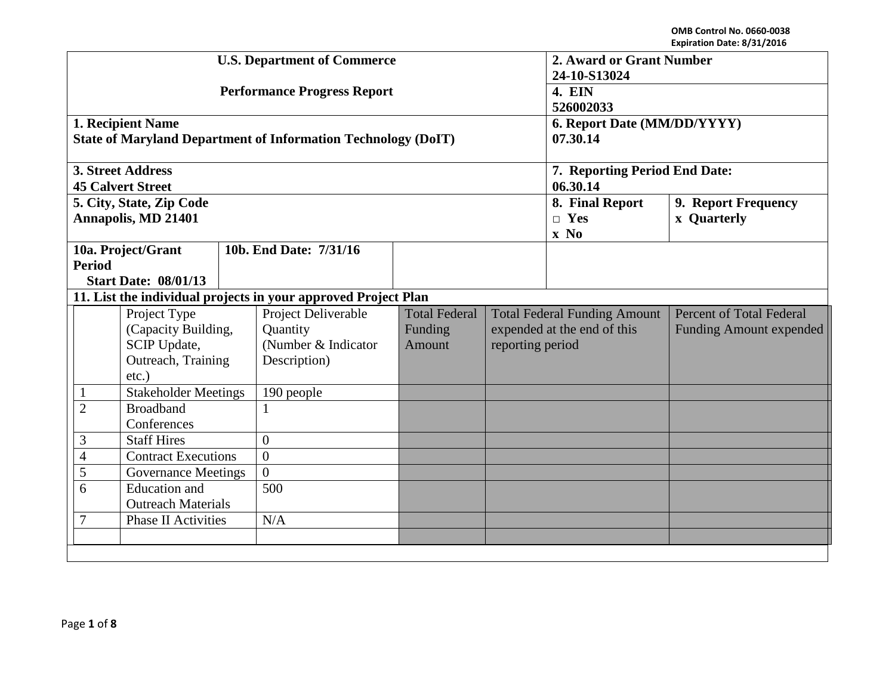|                                                                                       |  |                                                                        |                                           | <b>U.S. Department of Commerce</b>                                                     | 2. Award or Grant Number<br>24-10-S13024 |                                                                   |                                           |                                           |  |
|---------------------------------------------------------------------------------------|--|------------------------------------------------------------------------|-------------------------------------------|----------------------------------------------------------------------------------------|------------------------------------------|-------------------------------------------------------------------|-------------------------------------------|-------------------------------------------|--|
|                                                                                       |  |                                                                        |                                           | <b>Performance Progress Report</b>                                                     | 4. EIN<br>526002033                      |                                                                   |                                           |                                           |  |
|                                                                                       |  | 1. Recipient Name                                                      |                                           | <b>State of Maryland Department of Information Technology (DoIT)</b>                   | 6. Report Date (MM/DD/YYYY)<br>07.30.14  |                                                                   |                                           |                                           |  |
|                                                                                       |  | 3. Street Address<br><b>45 Calvert Street</b>                          |                                           |                                                                                        |                                          |                                                                   | 7. Reporting Period End Date:<br>06.30.14 |                                           |  |
|                                                                                       |  | 5. City, State, Zip Code<br><b>Annapolis, MD 21401</b>                 |                                           |                                                                                        |                                          |                                                                   | 8. Final Report<br>$\Box$ Yes<br>$x \ No$ | 9. Report Frequency<br><b>x</b> Quarterly |  |
| 10a. Project/Grant<br><b>Period</b><br><b>Start Date: 08/01/13</b>                    |  |                                                                        |                                           | 10b. End Date: 7/31/16                                                                 |                                          |                                                                   |                                           |                                           |  |
|                                                                                       |  |                                                                        |                                           | 11. List the individual projects in your approved Project Plan                         |                                          |                                                                   |                                           |                                           |  |
| Project Type<br>(Capacity Building,<br>SCIP Update,<br>Outreach, Training<br>$etc.$ ) |  | Project Deliverable<br>Quantity<br>(Number & Indicator<br>Description) | <b>Total Federal</b><br>Funding<br>Amount | <b>Total Federal Funding Amount</b><br>expended at the end of this<br>reporting period |                                          | <b>Percent of Total Federal</b><br><b>Funding Amount expended</b> |                                           |                                           |  |
| <b>Stakeholder Meetings</b><br>$\mathbf{1}$                                           |  |                                                                        | 190 people                                |                                                                                        |                                          |                                                                   |                                           |                                           |  |
| $\overline{2}$<br><b>Broadband</b><br>Conferences                                     |  | $\mathbf{1}$                                                           |                                           |                                                                                        |                                          |                                                                   |                                           |                                           |  |
| 3<br><b>Staff Hires</b>                                                               |  | $\theta$                                                               |                                           |                                                                                        |                                          |                                                                   |                                           |                                           |  |
| <b>Contract Executions</b><br>$\overline{4}$                                          |  | $\overline{0}$                                                         |                                           |                                                                                        |                                          |                                                                   |                                           |                                           |  |
| 5<br><b>Governance Meetings</b>                                                       |  | $\Omega$                                                               |                                           |                                                                                        |                                          |                                                                   |                                           |                                           |  |
| <b>Education</b> and<br>6<br><b>Outreach Materials</b>                                |  |                                                                        | 500                                       |                                                                                        |                                          |                                                                   |                                           |                                           |  |
| <b>Phase II Activities</b><br>N/A<br>7                                                |  |                                                                        |                                           |                                                                                        |                                          |                                                                   |                                           |                                           |  |
|                                                                                       |  |                                                                        |                                           |                                                                                        |                                          |                                                                   |                                           |                                           |  |
|                                                                                       |  |                                                                        |                                           |                                                                                        |                                          |                                                                   |                                           |                                           |  |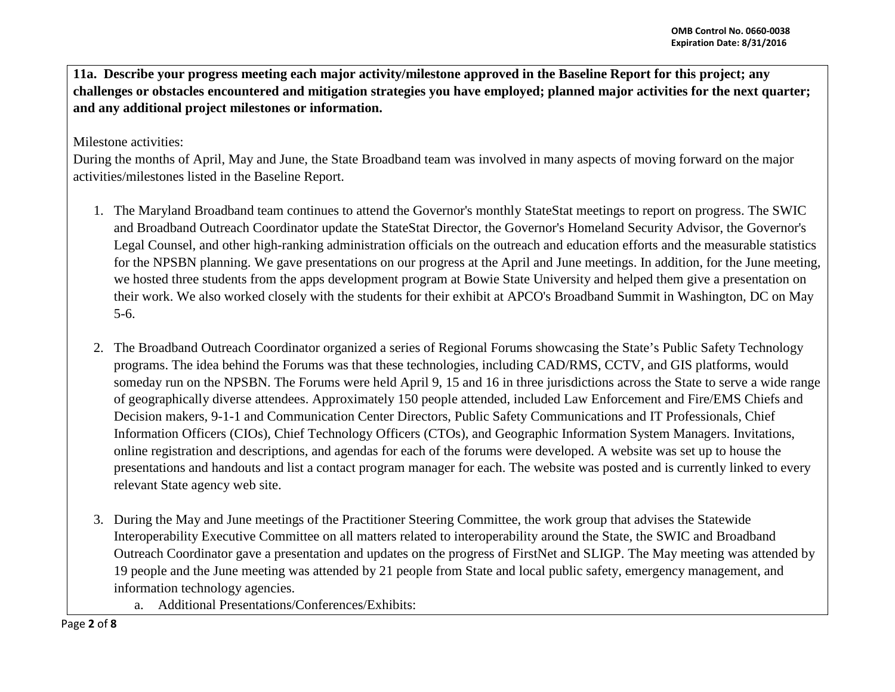**11a. Describe your progress meeting each major activity/milestone approved in the Baseline Report for this project; any challenges or obstacles encountered and mitigation strategies you have employed; planned major activities for the next quarter; and any additional project milestones or information.**

Milestone activities:

During the months of April, May and June, the State Broadband team was involved in many aspects of moving forward on the major activities/milestones listed in the Baseline Report.

- 1. The Maryland Broadband team continues to attend the Governor's monthly StateStat meetings to report on progress. The SWIC and Broadband Outreach Coordinator update the StateStat Director, the Governor's Homeland Security Advisor, the Governor's Legal Counsel, and other high-ranking administration officials on the outreach and education efforts and the measurable statistics for the NPSBN planning. We gave presentations on our progress at the April and June meetings. In addition, for the June meeting, we hosted three students from the apps development program at Bowie State University and helped them give a presentation on their work. We also worked closely with the students for their exhibit at APCO's Broadband Summit in Washington, DC on May 5-6.
- 2. The Broadband Outreach Coordinator organized a series of Regional Forums showcasing the State's Public Safety Technology programs. The idea behind the Forums was that these technologies, including CAD/RMS, CCTV, and GIS platforms, would someday run on the NPSBN. The Forums were held April 9, 15 and 16 in three jurisdictions across the State to serve a wide range of geographically diverse attendees. Approximately 150 people attended, included Law Enforcement and Fire/EMS Chiefs and Decision makers, 9-1-1 and Communication Center Directors, Public Safety Communications and IT Professionals, Chief Information Officers (CIOs), Chief Technology Officers (CTOs), and Geographic Information System Managers. Invitations, online registration and descriptions, and agendas for each of the forums were developed. A website was set up to house the presentations and handouts and list a contact program manager for each. The website was posted and is currently linked to every relevant State agency web site.
- 3. During the May and June meetings of the Practitioner Steering Committee, the work group that advises the Statewide Interoperability Executive Committee on all matters related to interoperability around the State, the SWIC and Broadband Outreach Coordinator gave a presentation and updates on the progress of FirstNet and SLIGP. The May meeting was attended by 19 people and the June meeting was attended by 21 people from State and local public safety, emergency management, and information technology agencies.
	- a. Additional Presentations/Conferences/Exhibits: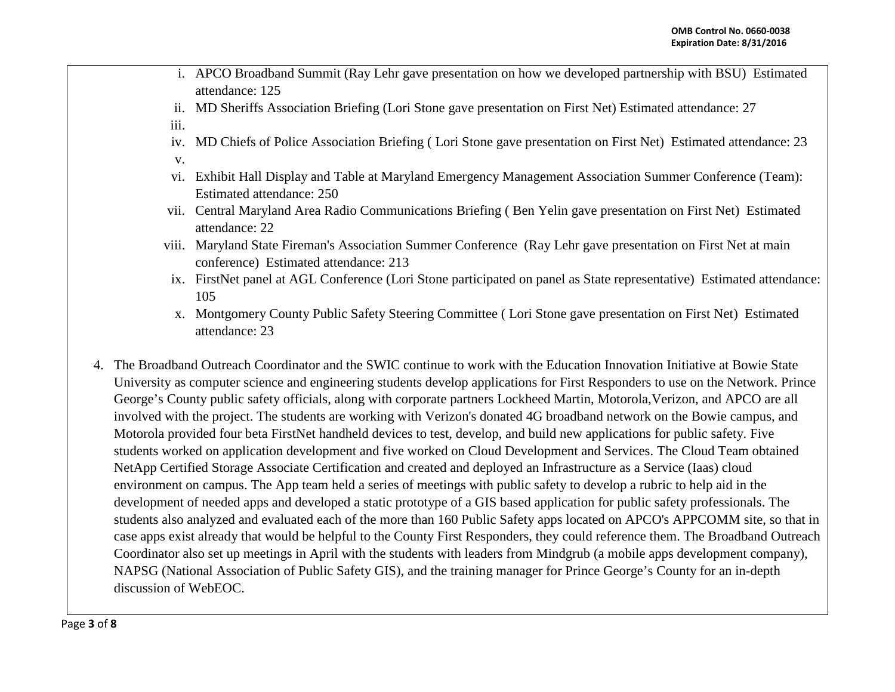- i. APCO Broadband Summit (Ray Lehr gave presentation on how we developed partnership with BSU) Estimated attendance: 125
- ii. MD Sheriffs Association Briefing (Lori Stone gave presentation on First Net) Estimated attendance: 27
- iii.
- iv. MD Chiefs of Police Association Briefing ( Lori Stone gave presentation on First Net) Estimated attendance: 23
- v.
- vi. Exhibit Hall Display and Table at Maryland Emergency Management Association Summer Conference (Team): Estimated attendance: 250
- vii. Central Maryland Area Radio Communications Briefing ( Ben Yelin gave presentation on First Net) Estimated attendance: 22
- viii. Maryland State Fireman's Association Summer Conference (Ray Lehr gave presentation on First Net at main conference) Estimated attendance: 213
- ix. FirstNet panel at AGL Conference (Lori Stone participated on panel as State representative) Estimated attendance: 105
- x. Montgomery County Public Safety Steering Committee ( Lori Stone gave presentation on First Net) Estimated attendance: 23
- 4. The Broadband Outreach Coordinator and the SWIC continue to work with the Education Innovation Initiative at Bowie State University as computer science and engineering students develop applications for First Responders to use on the Network. Prince George's County public safety officials, along with corporate partners Lockheed Martin, Motorola,Verizon, and APCO are all involved with the project. The students are working with Verizon's donated 4G broadband network on the Bowie campus, and Motorola provided four beta FirstNet handheld devices to test, develop, and build new applications for public safety. Five students worked on application development and five worked on Cloud Development and Services. The Cloud Team obtained NetApp Certified Storage Associate Certification and created and deployed an Infrastructure as a Service (Iaas) cloud environment on campus. The App team held a series of meetings with public safety to develop a rubric to help aid in the development of needed apps and developed a static prototype of a GIS based application for public safety professionals. The students also analyzed and evaluated each of the more than 160 Public Safety apps located on APCO's APPCOMM site, so that in case apps exist already that would be helpful to the County First Responders, they could reference them. The Broadband Outreach Coordinator also set up meetings in April with the students with leaders from Mindgrub (a mobile apps development company), NAPSG (National Association of Public Safety GIS), and the training manager for Prince George's County for an in-depth discussion of WebEOC.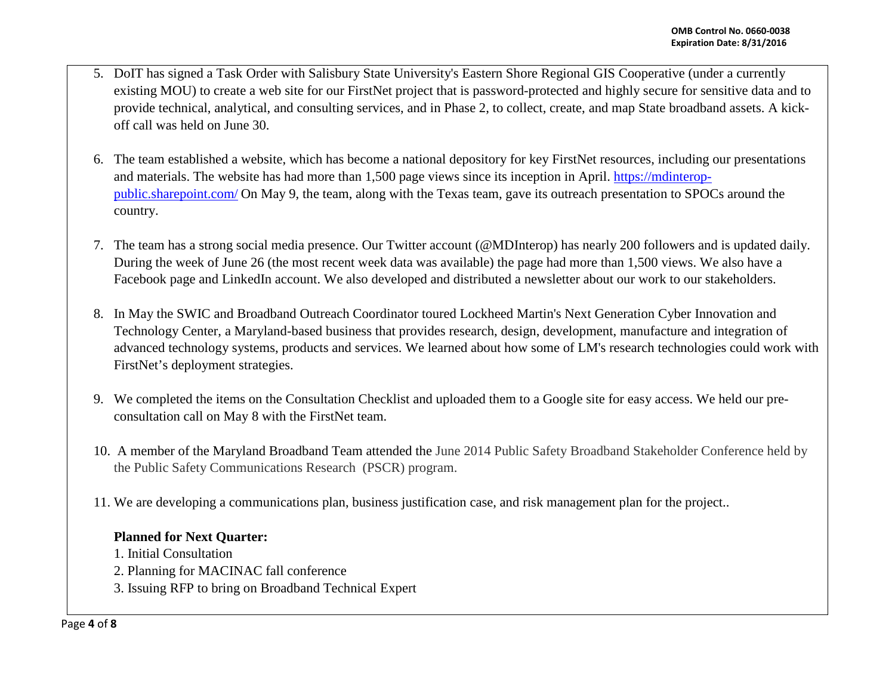- 5. DoIT has signed a Task Order with Salisbury State University's Eastern Shore Regional GIS Cooperative (under a currently existing MOU) to create a web site for our FirstNet project that is password-protected and highly secure for sensitive data and to provide technical, analytical, and consulting services, and in Phase 2, to collect, create, and map State broadband assets. A kickoff call was held on June 30.
- 6. The team established a website, which has become a national depository for key FirstNet resources, including our presentations and materials. The website has had more than 1,500 page views since its inception in April. [https://mdinterop](https://mdinterop-public.sharepoint.com/)[public.sharepoint.com/](https://mdinterop-public.sharepoint.com/) On May 9, the team, along with the Texas team, gave its outreach presentation to SPOCs around the country.
- 7. The team has a strong social media presence. Our Twitter account (@MDInterop) has nearly 200 followers and is updated daily. During the week of June 26 (the most recent week data was available) the page had more than 1,500 views. We also have a Facebook page and LinkedIn account. We also developed and distributed a newsletter about our work to our stakeholders.
- 8. In May the SWIC and Broadband Outreach Coordinator toured Lockheed Martin's Next Generation Cyber Innovation and Technology Center, a Maryland-based business that provides research, design, development, manufacture and integration of advanced technology systems, products and services. We learned about how some of LM's research technologies could work with FirstNet's deployment strategies.
- 9. We completed the items on the Consultation Checklist and uploaded them to a Google site for easy access. We held our preconsultation call on May 8 with the FirstNet team.
- 10. A member of the Maryland Broadband Team attended the June 2014 Public Safety Broadband Stakeholder Conference held by the Public Safety Communications Research (PSCR) program.
- 11. We are developing a communications plan, business justification case, and risk management plan for the project..

## **Planned for Next Quarter:**

1. Initial Consultation

- 2. Planning for MACINAC fall conference
- 3. Issuing RFP to bring on Broadband Technical Expert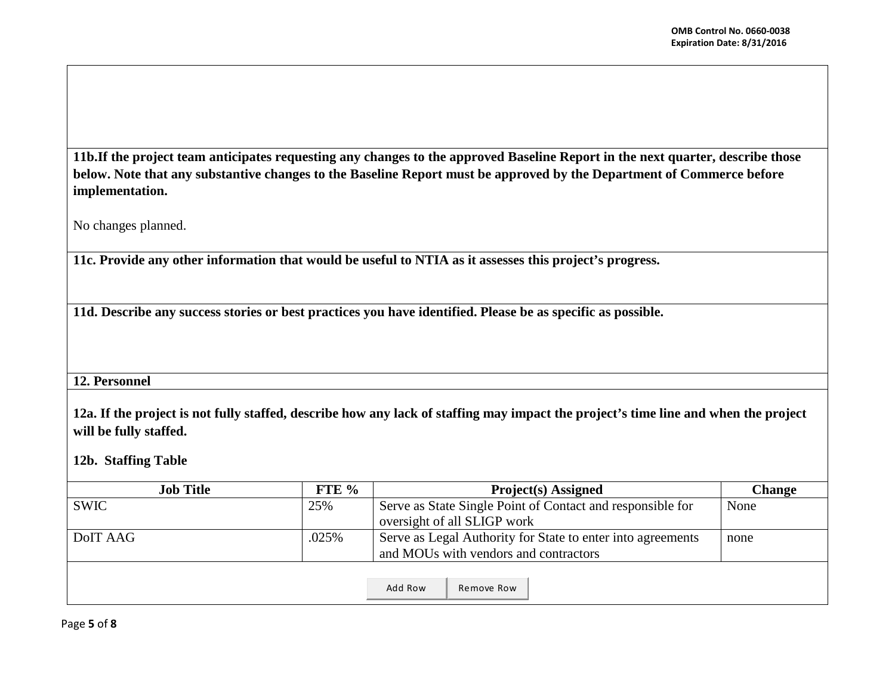**11b.If the project team anticipates requesting any changes to the approved Baseline Report in the next quarter, describe those below. Note that any substantive changes to the Baseline Report must be approved by the Department of Commerce before implementation.** 

No changes planned.

**11c. Provide any other information that would be useful to NTIA as it assesses this project's progress.** 

**11d. Describe any success stories or best practices you have identified. Please be as specific as possible.**

## **12. Personnel**

**12a. If the project is not fully staffed, describe how any lack of staffing may impact the project's time line and when the project will be fully staffed.**

**12b. Staffing Table**

| <b>Job Title</b>  | FTE $%$ | <b>Project(s)</b> Assigned                                  | <b>Change</b> |
|-------------------|---------|-------------------------------------------------------------|---------------|
| <b>SWIC</b>       | 25%     | Serve as State Single Point of Contact and responsible for  | None          |
|                   |         | oversight of all SLIGP work                                 |               |
| .025%<br>DoIT AAG |         | Serve as Legal Authority for State to enter into agreements | none          |
|                   |         | and MOUs with vendors and contractors                       |               |
|                   |         |                                                             |               |
|                   |         | Add Row<br>Remove Row                                       |               |

Page **5** of **8**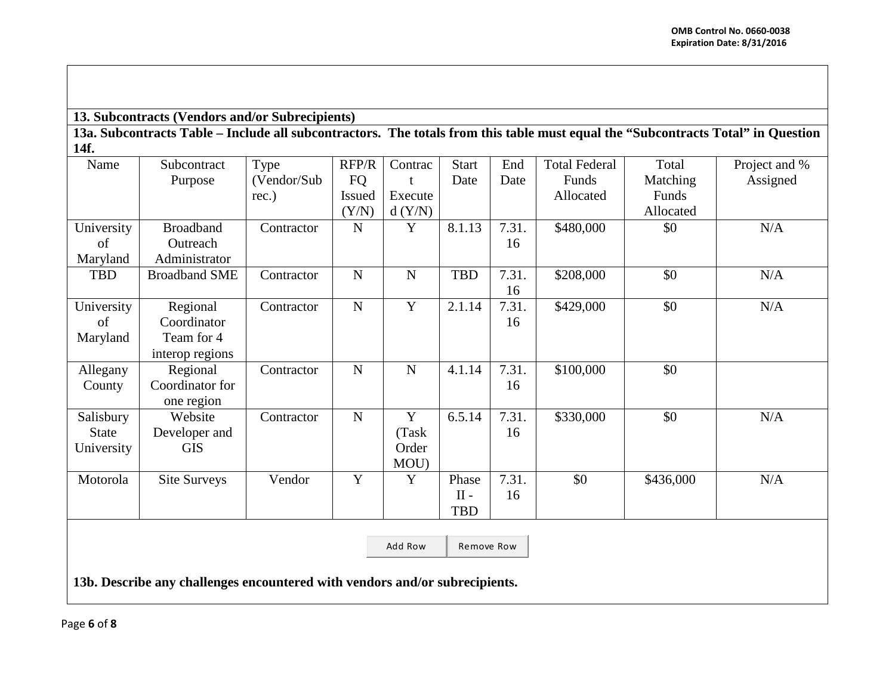**13. Subcontracts (Vendors and/or Subrecipients)**

**13a. Subcontracts Table – Include all subcontractors. The totals from this table must equal the "Subcontracts Total" in Question 14f.**

| Name         | Subcontract                                                                 | Type        | RFP/R         | Contrac     | <b>Start</b> | End   | <b>Total Federal</b> | Total     | Project and % |
|--------------|-----------------------------------------------------------------------------|-------------|---------------|-------------|--------------|-------|----------------------|-----------|---------------|
|              | Purpose                                                                     | (Vendor/Sub | FQ            |             | Date         | Date  | Funds                | Matching  | Assigned      |
|              |                                                                             | rec.)       | <b>Issued</b> | Execute     |              |       | Allocated            | Funds     |               |
|              |                                                                             |             | (Y/N)         | d(Y/N)      |              |       |                      | Allocated |               |
| University   | <b>Broadband</b>                                                            | Contractor  | $\mathbf N$   | Y           | 8.1.13       | 7.31. | \$480,000            | \$0       | N/A           |
| of           | Outreach                                                                    |             |               |             |              | 16    |                      |           |               |
| Maryland     | Administrator                                                               |             |               |             |              |       |                      |           |               |
| <b>TBD</b>   | <b>Broadband SME</b>                                                        | Contractor  | $\mathbf N$   | ${\bf N}$   | <b>TBD</b>   | 7.31. | \$208,000            | \$0       | N/A           |
|              |                                                                             |             |               |             |              | 16    |                      |           |               |
| University   | Regional                                                                    | Contractor  | $\mathbf N$   | $\mathbf Y$ | 2.1.14       | 7.31. | \$429,000            | \$0       | N/A           |
| of           | Coordinator                                                                 |             |               |             |              | 16    |                      |           |               |
| Maryland     | Team for 4                                                                  |             |               |             |              |       |                      |           |               |
|              | interop regions                                                             |             |               |             |              |       |                      |           |               |
| Allegany     | Regional                                                                    | Contractor  | $\mathbf N$   | $\mathbf N$ | 4.1.14       | 7.31. | \$100,000            | \$0       |               |
| County       | Coordinator for                                                             |             |               |             |              | 16    |                      |           |               |
|              | one region                                                                  |             |               |             |              |       |                      |           |               |
| Salisbury    | Website                                                                     | Contractor  | $\mathbf N$   | Y           | 6.5.14       | 7.31. | \$330,000            | \$0       | N/A           |
| <b>State</b> | Developer and                                                               |             |               | (Task       |              | 16    |                      |           |               |
| University   | <b>GIS</b>                                                                  |             |               | Order       |              |       |                      |           |               |
|              |                                                                             |             |               | MOU)        |              |       |                      |           |               |
| Motorola     | <b>Site Surveys</b>                                                         | Vendor      | Y             | $\mathbf Y$ | Phase        | 7.31. | \$0                  | \$436,000 | N/A           |
|              |                                                                             |             |               |             | $II -$       | 16    |                      |           |               |
|              |                                                                             |             |               |             | <b>TBD</b>   |       |                      |           |               |
|              |                                                                             |             |               |             |              |       |                      |           |               |
|              |                                                                             |             |               | Add Row     | Remove Row   |       |                      |           |               |
|              |                                                                             |             |               |             |              |       |                      |           |               |
|              | 13b. Describe any challenges encountered with vendors and/or subrecipients. |             |               |             |              |       |                      |           |               |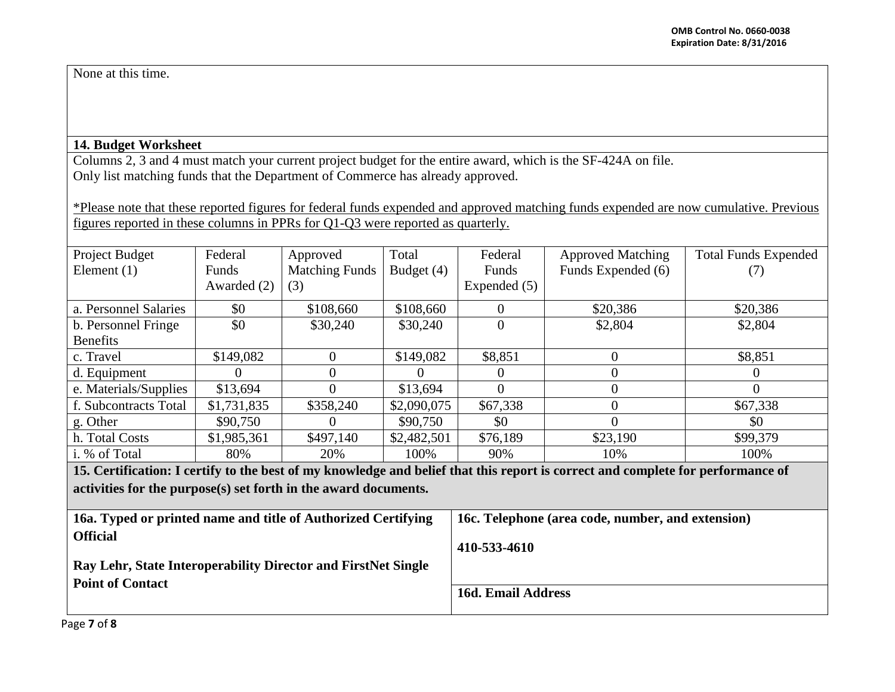None at this time.

## **14. Budget Worksheet**

Columns 2, 3 and 4 must match your current project budget for the entire award, which is the SF-424A on file. Only list matching funds that the Department of Commerce has already approved.

\*Please note that these reported figures for federal funds expended and approved matching funds expended are now cumulative. Previous figures reported in these columns in PPRs for Q1-Q3 were reported as quarterly.

| Project Budget        | Federal     | Approved              | Total       | Federal        | <b>Approved Matching</b> | <b>Total Funds Expended</b> |
|-----------------------|-------------|-----------------------|-------------|----------------|--------------------------|-----------------------------|
| Element $(1)$         | Funds       | <b>Matching Funds</b> | Budget (4)  | Funds          | Funds Expended (6)       | $\left(\frac{1}{2}\right)$  |
|                       | Awarded (2) | (3)                   |             | Expended (5)   |                          |                             |
| a. Personnel Salaries | \$0         | \$108,660             | \$108,660   | $\Omega$       | \$20,386                 | \$20,386                    |
| b. Personnel Fringe   | \$0         | \$30,240              | \$30,240    | $\overline{0}$ | \$2,804                  | \$2,804                     |
| <b>Benefits</b>       |             |                       |             |                |                          |                             |
| c. Travel             | \$149,082   | 0                     | \$149,082   | \$8,851        | $\Omega$                 | \$8,851                     |
| d. Equipment          |             | $\Omega$              |             | $\theta$       | $\Omega$                 | $\theta$                    |
| e. Materials/Supplies | \$13,694    |                       | \$13,694    | $\theta$       | $\Omega$                 | $\Omega$                    |
| f. Subcontracts Total | \$1,731,835 | \$358,240             | \$2,090,075 | \$67,338       | $\Omega$                 | \$67,338                    |
| g. Other              | \$90,750    |                       | \$90,750    | \$0            | $\Omega$                 | \$0                         |
| h. Total Costs        | \$1,985,361 | \$497,140             | \$2,482,501 | \$76,189       | \$23,190                 | \$99,379                    |
| i. % of Total         | 80%         | 20%                   | 100%        | 90%            | 10%                      | 100%                        |

**15. Certification: I certify to the best of my knowledge and belief that this report is correct and complete for performance of activities for the purpose(s) set forth in the award documents.**

| 16c. Telephone (area code, number, and extension) |
|---------------------------------------------------|
| 410-533-4610                                      |
|                                                   |
| 16d. Email Address                                |
|                                                   |